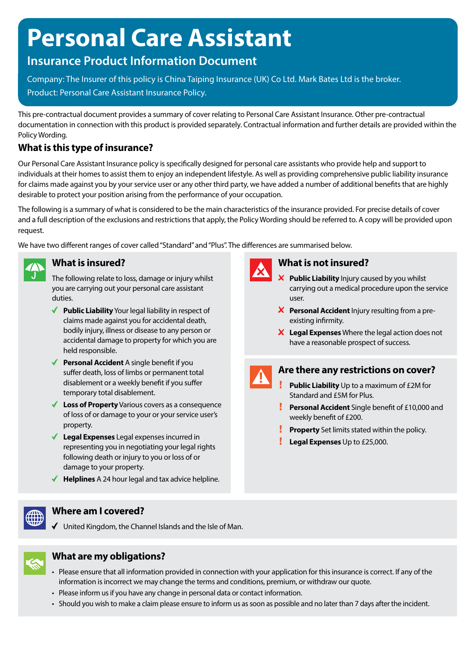# **Personal Care Assistant**

## **Insurance Product Information Document**

Company: The Insurer of this policy is China Taiping Insurance (UK) Co Ltd. Mark Bates Ltd is the broker. Product: Personal Care Assistant Insurance Policy.

This pre-contractual document provides a summary of cover relating to Personal Care Assistant Insurance. Other pre-contractual documentation in connection with this product is provided separately. Contractual information and further details are provided within the Policy Wording.

### **What is this type of insurance?**

Our Personal Care Assistant Insurance policy is specifically designed for personal care assistants who provide help and support to individuals at their homes to assist them to enjoy an independent lifestyle. As well as providing comprehensive public liability insurance for claims made against you by your service user or any other third party, we have added a number of additional benefits that are highly desirable to protect your position arising from the performance of your occupation.

The following is a summary of what is considered to be the main characteristics of the insurance provided. For precise details of cover and a full description of the exclusions and restrictions that apply, the Policy Wording should be referred to. A copy will be provided upon request.

We have two different ranges of cover called "Standard" and "Plus". The differences are summarised below.



#### **What is insured?**

The following relate to loss, damage or injury whilst you are carrying out your personal care assistant duties.

- ◆ **Public Liability** Your legal liability in respect of claims made against you for accidental death, bodily injury, illness or disease to any person or accidental damage to property for which you are held responsible.
- ◆ **Personal Accident** A single benefit if you suffer death, loss of limbs or permanent total disablement or a weekly benefit if you suffer temporary total disablement.
- **Loss of Property** Various covers as a consequence of loss of or damage to your or your service user's property.
- **Legal Expenses** Legal expenses incurred in representing you in negotiating your legal rights following death or injury to you or loss of or damage to your property.
- ◆ **Helplines** A 24 hour legal and tax advice helpline.



#### **What is not insured?**

- **X** Public Liability Injury caused by you whilst carrying out a medical procedure upon the service user.
- **Personal Accident** Injury resulting from a preexisting infirmity.
- **Legal Expenses** Where the legal action does not have a reasonable prospect of success.



- **Public Liability** Up to a maximum of £2M for Standard and £5M for Plus.
- **Personal Accident** Single benefit of £10,000 and weekly benefit of £200.
- **Property** Set limits stated within the policy.
- Ţ. **Legal Expenses** Up to £25,000.



#### **Where am I covered?**

 $\checkmark$  United Kingdom, the Channel Islands and the Isle of Man.



#### **What are my obligations?**

- Please ensure that all information provided in connection with your application for this insurance is correct. If any of the information is incorrect we may change the terms and conditions, premium, or withdraw our quote.
- Please inform us if you have any change in personal data or contact information.
- Should you wish to make a claim please ensure to inform us as soon as possible and no later than 7 days after the incident.